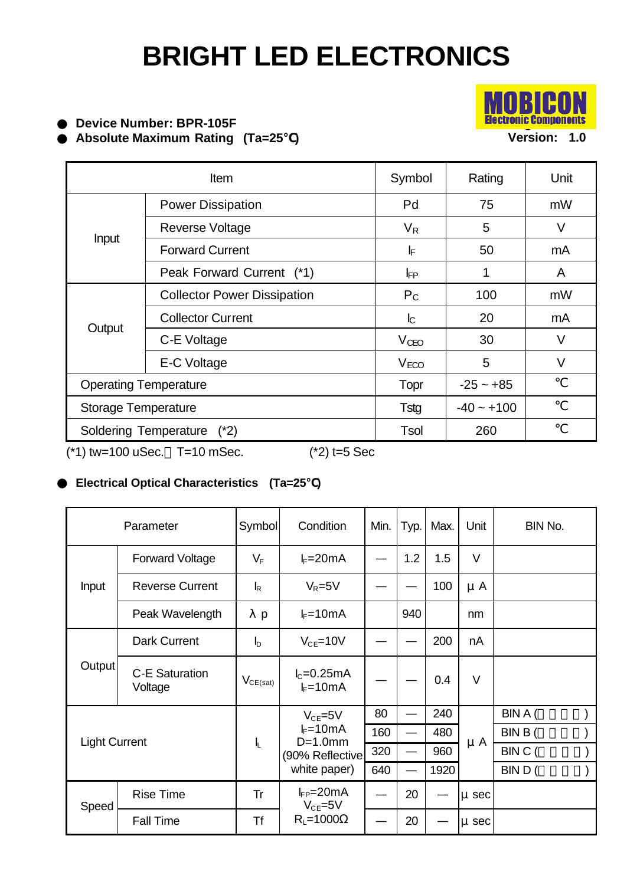

**Device Number: BPR-105F Absolute Maximum Rating (Ta=25 )**

Item **Internal Symbol** Rating Unit Power Dissipation **Power Dissipation Pd** Pd 75 mW Reverse Voltage  $\vert V_R \vert$  5 V Forward Current The International Line International Line International Line International Line International M Input Peak Forward Current (\*1)  $\vert \vert \vert$  |  $\vert$ <sub>FP</sub> | 1 | A Collector Power Dissipation  $P_{\text{C}}$  | 100 | mW Collector Current 1 L<sub>C</sub>  $\vert$  20 mA  $C-E$  Voltage  $V_{CEO}$  30 V **Output**  $E-C$  Voltage  $V_{ECO}$   $V_{ECO}$   $S$   $V$ Operating Temperature Topr | -25 ~ +85 Storage Temperature The Tstg  $\vert$  -40 ~ +100 Soldering Temperature (\*2) Tsol | 260  $(*1)$  tw=100 uSec. T=10 mSec.  $(*2)$  t=5 Sec

### **Electrical Optical Characteristics (Ta=25 )**

| Parameter            |                           | Symbol                    | Condition                                                                      | Min. | Typ. | Max. | Unit      | BIN No. |
|----------------------|---------------------------|---------------------------|--------------------------------------------------------------------------------|------|------|------|-----------|---------|
| Input                | Forward Voltage           | $V_F$                     | $I_F = 20mA$                                                                   |      | 1.2  | 1.5  | $\vee$    |         |
|                      | <b>Reverse Current</b>    | $\mathsf{I}_{\mathsf{R}}$ | $V_R = 5V$                                                                     |      |      | 100  | $\mu$ A   |         |
|                      | Peak Wavelength           | p                         | $I_F = 10mA$                                                                   |      | 940  |      | nm        |         |
| Output               | Dark Current              | $\mathsf{I}_{\mathsf{D}}$ | $V_{CE}$ =10V                                                                  |      |      | 200  | nA        |         |
|                      | C-E Saturation<br>Voltage | $V_{CE(sat)}$             | $I_c = 0.25mA$<br>$I_F = 10mA$                                                 |      |      | 0.4  | $\vee$    |         |
| <b>Light Current</b> |                           | Ł                         | $V_{CE} = 5V$<br>$I_F = 10mA$<br>$D=1.0$ mm<br>(90% Reflective<br>white paper) | 80   |      | 240  | $\mu$ A   | BIN A ( |
|                      |                           |                           |                                                                                | 160  |      | 480  |           | BIN B ( |
|                      |                           |                           |                                                                                | 320  |      | 960  |           | BIN C ( |
|                      |                           |                           |                                                                                | 640  |      | 1920 |           | BIND (  |
| Speed                | <b>Rise Time</b>          | Tr                        | $I_{FP}=20mA$<br>$V_{CE} = 5V$<br>$R_L = 1000$                                 |      | 20   |      | µ sec     |         |
|                      | Fall Time                 | Τf                        |                                                                                |      | 20   |      | $\mu$ sec |         |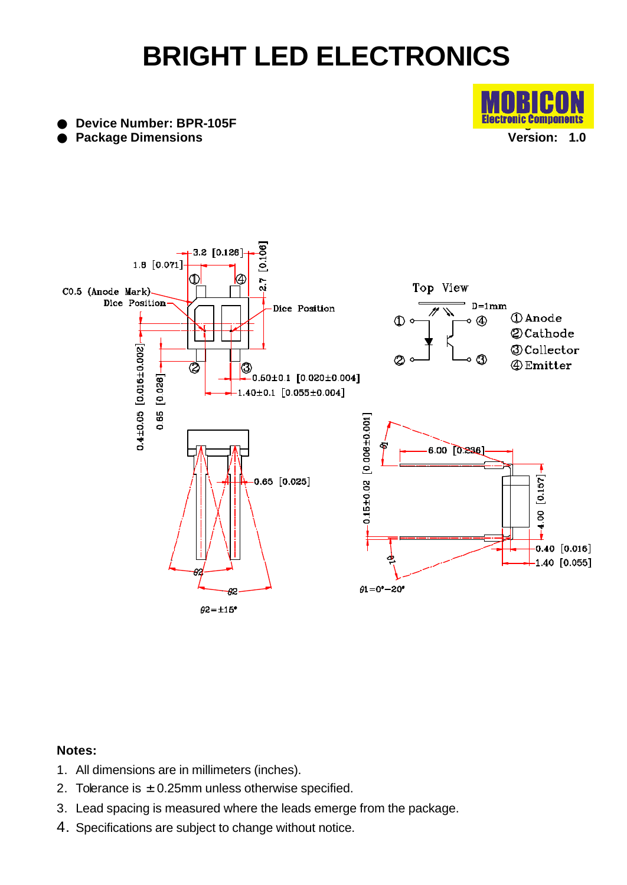**Electronic Components Version: 1.0**

**Device Number: BPR-105F Package Dimensions**



#### **Notes:**

- 1. All dimensions are in millimeters (inches).
- 2. Tolerance is  $\pm$  0.25mm unless otherwise specified.
- 3. Lead spacing is measured where the leads emerge from the package.
- 4. Specifications are subject to change without notice.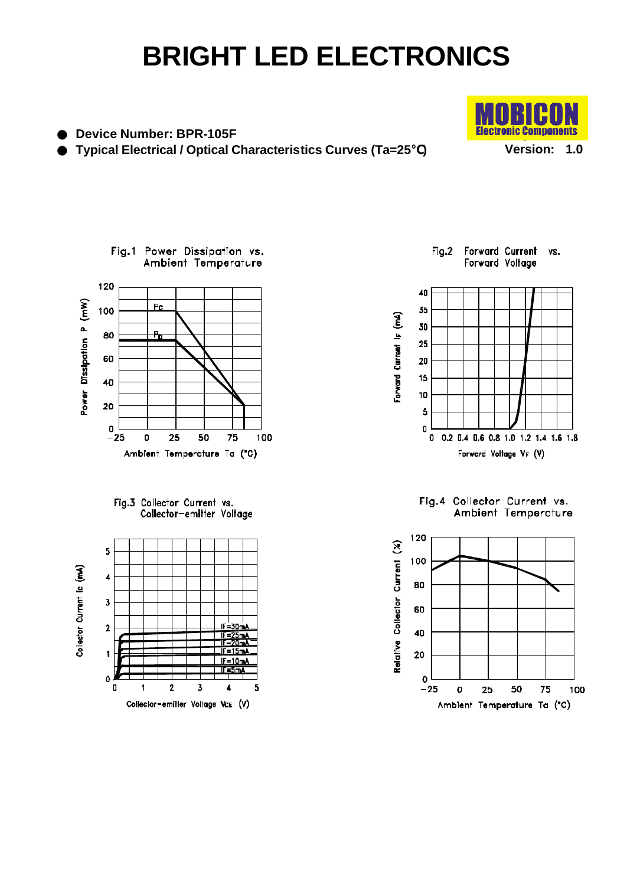**Device Number: BPR-105F Typical Electrical / Optical Characteristics Curves (Ta=25 )**









Fig.2 Forward Current VS. Forward Voltage



Fig.4 Collector Current vs.<br>Ambient Temperature